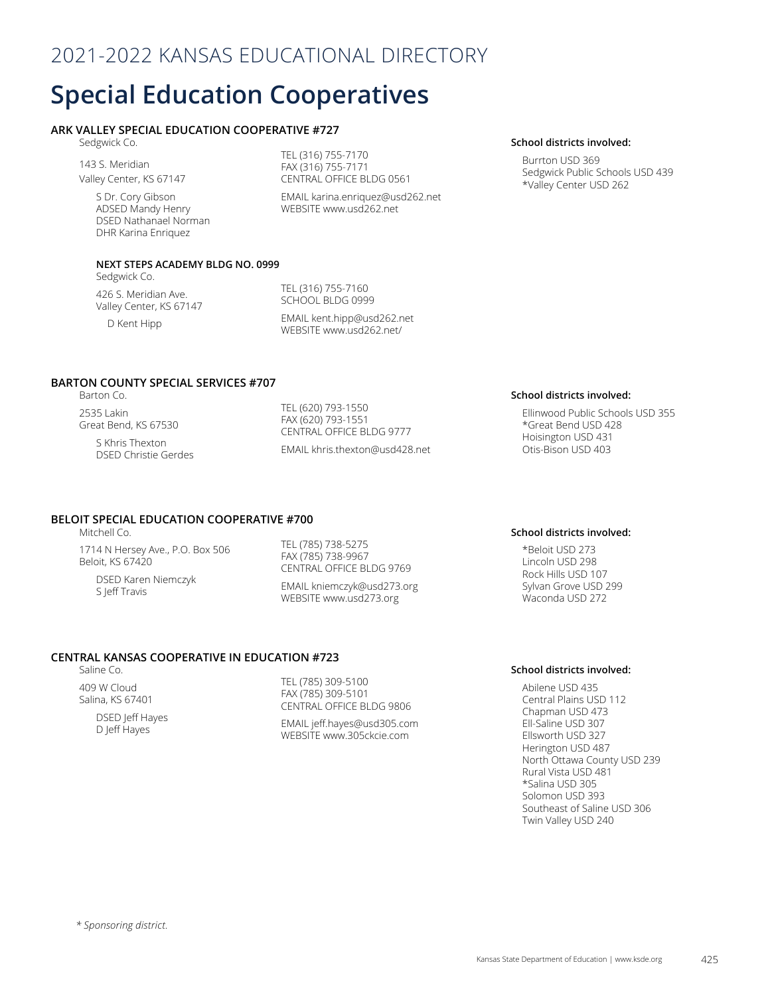# 2021-2022 KANSAS EDUCATIONAL DIRECTORY

# **Special Education Cooperatives**

# **ARK VALLEY SPECIAL EDUCATION COOPERATIVE #727**

Sedgwick Co.

143 S. Meridian Valley Center, KS 67147

> S Dr. Cory Gibson ADSED Mandy Henry DSED Nathanael Norman DHR Karina Enriquez

TEL (316) 755-7170 FAX (316) 755-7171 CENTRAL OFFICE BLDG 0561

EMAIL karina.enriquez@usd262.net WEBSITE www.usd262.net

### **School districts involved:**

Burrton USD 369 Sedgwick Public Schools USD 439 \*Valley Center USD 262

### **NEXT STEPS ACADEMY BLDG NO. 0999**

Sedgwick Co.

426 S. Meridian Ave. Valley Center, KS 67147

D Kent Hipp

TEL (316) 755-7160 SCHOOL BLDG 0999

EMAIL kent.hipp@usd262.net WEBSITE www.usd262.net/

# **BARTON COUNTY SPECIAL SERVICES #707**

Barton Co. 2535 Lakin Great Bend, KS 67530

> S Khris Thexton DSED Christie Gerdes

TEL (620) 793-1550 FAX (620) 793-1551 CENTRAL OFFICE BLDG 9777 EMAIL khris.thexton@usd428.net

## **BELOIT SPECIAL EDUCATION COOPERATIVE #700**

Mitchell Co.

1714 N Hersey Ave., P.O. Box 506 Beloit, KS 67420 DSED Karen Niemczyk S Jeff Travis

TEL (785) 738-5275 FAX (785) 738-9967 CENTRAL OFFICE BLDG 9769

EMAIL kniemczyk@usd273.org WEBSITE www.usd273.org

### **CENTRAL KANSAS COOPERATIVE IN EDUCATION #723**

Saline Co.

409 W Cloud Salina, KS 67401 DSED Jeff Hayes D Jeff Hayes

TEL (785) 309-5100 FAX (785) 309-5101 CENTRAL OFFICE BLDG 9806

EMAIL jeff.hayes@usd305.com WEBSITE www.305ckcie.com

### **School districts involved:**

Ellinwood Public Schools USD 355 \*Great Bend USD 428 Hoisington USD 431 Otis-Bison USD 403

### **School districts involved:**

\*Beloit USD 273 Lincoln USD 298 Rock Hills USD 107 Sylvan Grove USD 299 Waconda USD 272

### **School districts involved:**

Abilene USD 435 Central Plains USD 112 Chapman USD 473 Ell-Saline USD 307 Ellsworth USD 327 Herington USD 487 North Ottawa County USD 239 Rural Vista USD 481 \*Salina USD 305 Solomon USD 393 Southeast of Saline USD 306 Twin Valley USD 240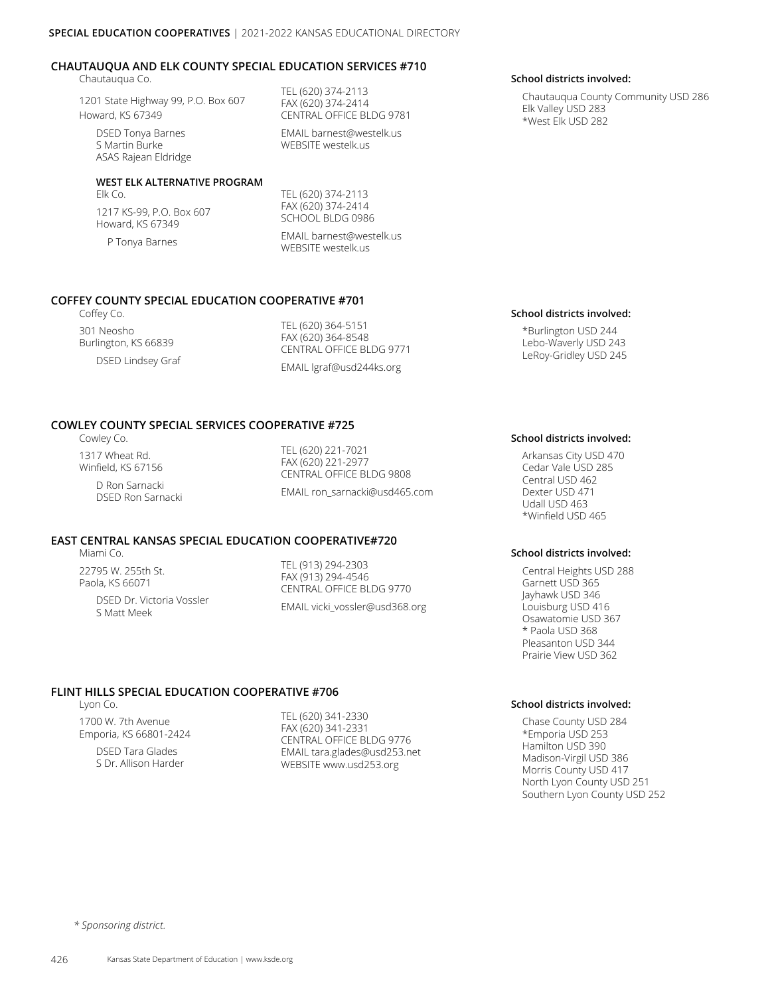### **CHAUTAUQUA AND ELK COUNTY SPECIAL EDUCATION SERVICES #710**

Chautauqua Co.

1201 State Highway 99, P.O. Box 607 Howard, KS 67349

DSED Tonya Barnes S Martin Burke ASAS Rajean Eldridge

### **WEST ELK ALTERNATIVE PROGRAM**

Elk Co. 1217 KS-99, P.O. Box 607 Howard, KS 67349

P Tonya Barnes

TEL (620) 374-2113 FAX (620) 374-2414 CENTRAL OFFICE BLDG 9781

EMAIL barnest@westelk.us WEBSITE westelk.us

TEL (620) 374-2113 FAX (620) 374-2414 SCHOOL BLDG 0986

EMAIL barnest@westelk.us WEBSITE westelk.us

### **COFFEY COUNTY SPECIAL EDUCATION COOPERATIVE #701**

Coffey Co. 301 Neosho Burlington, KS 66839 DSED Lindsey Graf

TEL (620) 364-5151 FAX (620) 364-8548 CENTRAL OFFICE BLDG 9771 EMAIL lgraf@usd244ks.org

### **COWLEY COUNTY SPECIAL SERVICES COOPERATIVE #725**

Cowley Co.

1317 Wheat Rd. Winfield, KS 67156

D Ron Sarnacki DSED Ron Sarnacki

TEL (620) 221-7021 FAX (620) 221-2977 CENTRAL OFFICE BLDG 9808 EMAIL ron\_sarnacki@usd465.com

# **EAST CENTRAL KANSAS SPECIAL EDUCATION COOPERATIVE#720**

Miami Co.

22795 W. 255th St. Paola, KS 66071

> DSED Dr. Victoria Vossler S Matt Meek

TEL (913) 294-2303 FAX (913) 294-4546 CENTRAL OFFICE BLDG 9770 EMAIL vicki\_vossler@usd368.org

# **FLINT HILLS SPECIAL EDUCATION COOPERATIVE #706**

Lyon Co.

1700 W. 7th Avenue Emporia, KS 66801-2424

> DSED Tara Glades S Dr. Allison Harder

TEL (620) 341-2330 FAX (620) 341-2331 CENTRAL OFFICE BLDG 9776 EMAIL tara.glades@usd253.net WEBSITE www.usd253.org

### **School districts involved:**

Chautauqua County Community USD 286 Elk Valley USD 283 \*West Elk USD 282

### **School districts involved:**

\*Burlington USD 244 Lebo-Waverly USD 243 LeRoy-Gridley USD 245

### **School districts involved:**

Arkansas City USD 470 Cedar Vale USD 285 Central USD 462 Dexter USD 471 Udall USD 463 \*Winfield USD 465

### **School districts involved:**

Central Heights USD 288 Garnett USD 365 Jayhawk USD 346 Louisburg USD 416 Osawatomie USD 367 \* Paola USD 368 Pleasanton USD 344 Prairie View USD 362

### **School districts involved:**

Chase County USD 284 \*Emporia USD 253 Hamilton USD 390 Madison-Virgil USD 386 Morris County USD 417 North Lyon County USD 251 Southern Lyon County USD 252

*\* Sponsoring district.*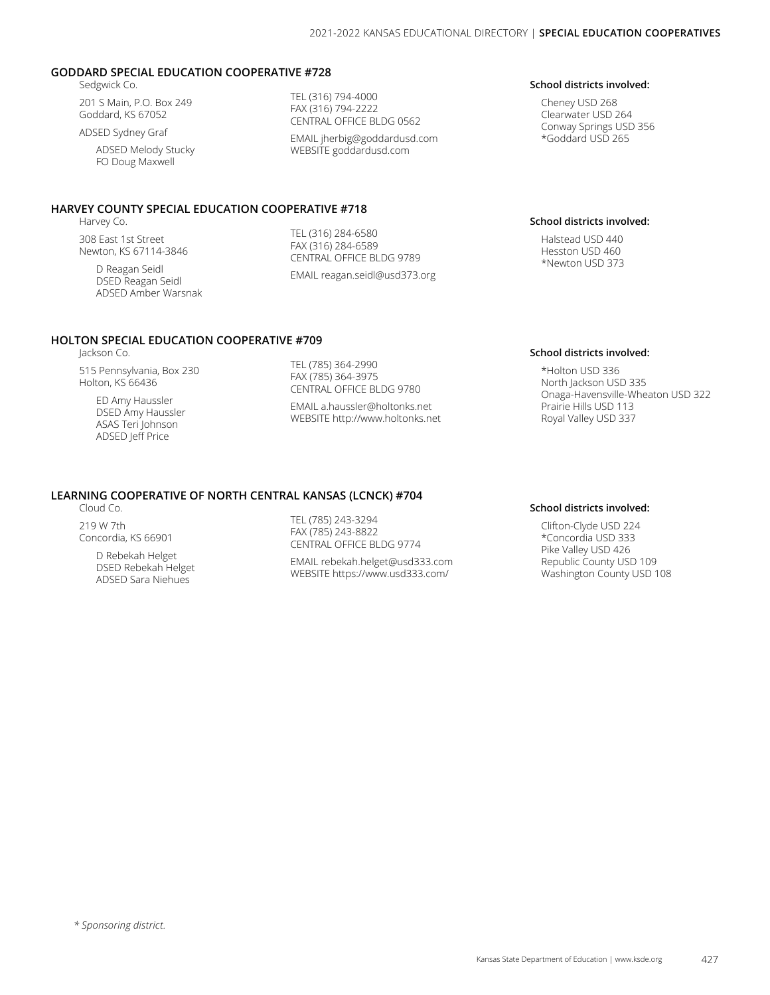### **GODDARD SPECIAL EDUCATION COOPERATIVE #728**

Sedgwick Co.

201 S Main, P.O. Box 249 Goddard, KS 67052

ADSED Sydney Graf

ADSED Melody Stucky FO Doug Maxwell

### **HARVEY COUNTY SPECIAL EDUCATION COOPERATIVE #718**

**HOLTON SPECIAL EDUCATION COOPERATIVE #709**

Harvey Co.

Jackson Co.

308 East 1st Street Newton, KS 67114-3846

> D Reagan Seidl DSED Reagan Seidl ADSED Amber Warsnak

515 Pennsylvania, Box 230 Holton, KS 66436 ED Amy Haussler DSED Amy Haussler ASAS Teri Johnson ADSED Jeff Price

TEL (316) 794-4000 FAX (316) 794-2222 CENTRAL OFFICE BLDG 0562

EMAIL jherbig@goddardusd.com WEBSITE goddardusd.com

TEL (316) 284-6580 FAX (316) 284-6589 CENTRAL OFFICE BLDG 9789 EMAIL reagan.seidl@usd373.org

TEL (785) 364-2990 FAX (785) 364-3975 CENTRAL OFFICE BLDG 9780 EMAIL a.haussler@holtonks.net WEBSITE http://www.holtonks.net

### **School districts involved:**

Cheney USD 268 Clearwater USD 264 Conway Springs USD 356 \*Goddard USD 265

### **School districts involved:**

Halstead USD 440 Hesston USD 460 \*Newton USD 373

### **School districts involved:**

\*Holton USD 336 North Jackson USD 335 Onaga-Havensville-Wheaton USD 322 Prairie Hills USD 113 Royal Valley USD 337

# **LEARNING COOPERATIVE OF NORTH CENTRAL KANSAS (LCNCK) #704**

Cloud Co.

219 W 7th Concordia, KS 66901

> D Rebekah Helget DSED Rebekah Helget ADSED Sara Niehues

TEL (785) 243-3294 FAX (785) 243-8822 CENTRAL OFFICE BLDG 9774

EMAIL rebekah.helget@usd333.com WEBSITE https://www.usd333.com/

### **School districts involved:**

Clifton-Clyde USD 224 \*Concordia USD 333 Pike Valley USD 426 Republic County USD 109 Washington County USD 108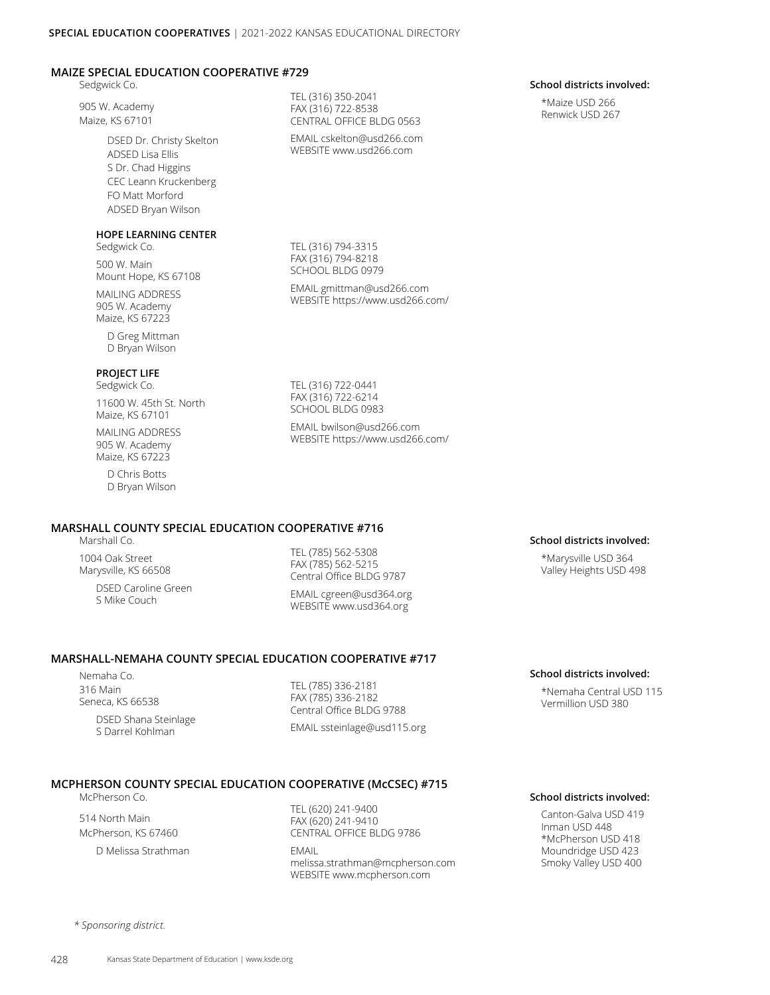### **MAIZE SPECIAL EDUCATION COOPERATIVE #729**

Sedgwick Co.

905 W. Academy Maize, KS 67101

> DSED Dr. Christy Skelton ADSED Lisa Ellis S Dr. Chad Higgins CEC Leann Kruckenberg FO Matt Morford ADSED Bryan Wilson

### **HOPE LEARNING CENTER**

Sedgwick Co.

500 W. Main Mount Hope, KS 67108

MAILING ADDRESS 905 W. Academy Maize, KS 67223

> D Greg Mittman D Bryan Wilson

### **PROJECT LIFE**

Sedgwick Co. 11600 W. 45th St. North Maize, KS 67101

MAILING ADDRESS 905 W. Academy Maize, KS 67223

> D Chris Botts D Bryan Wilson

TEL (316) 350-2041 FAX (316) 722-8538 CENTRAL OFFICE BLDG 0563

EMAIL cskelton@usd266.com WEBSITE www.usd266.com

TEL (316) 794-3315 FAX (316) 794-8218 SCHOOL BLDG 0979

EMAIL gmittman@usd266.com WEBSITE https://www.usd266.com/

TEL (316) 722-0441 FAX (316) 722-6214 SCHOOL BLDG 0983

EMAIL bwilson@usd266.com WEBSITE https://www.usd266.com/

# **MARSHALL COUNTY SPECIAL EDUCATION COOPERATIVE #716**

Marshall Co.

1004 Oak Street Marysville, KS 66508

> DSED Caroline Green S Mike Couch

TEL (785) 562-5308 FAX (785) 562-5215 Central Office BLDG 9787

EMAIL cgreen@usd364.org WEBSITE www.usd364.org

### **MARSHALL-NEMAHA COUNTY SPECIAL EDUCATION COOPERATIVE #717**

Nemaha Co. 316 Main Seneca, KS 66538

DSED Shana Steinlage S Darrel Kohlman

TEL (785) 336-2181 FAX (785) 336-2182 Central Office BLDG 9788 EMAIL ssteinlage@usd115.org

### **School districts involved:**

\*Marysville USD 364 Valley Heights USD 498

### **School districts involved:**

\*Nemaha Central USD 115 Vermillion USD 380

### **MCPHERSON COUNTY SPECIAL EDUCATION COOPERATIVE (McCSEC) #715**

McPherson Co.

514 North Main McPherson, KS 67460 D Melissa Strathman

TEL (620) 241-9400 FAX (620) 241-9410 CENTRAL OFFICE BLDG 9786 EMAIL melissa.strathman@mcpherson.com WEBSITE www.mcpherson.com

**School districts involved:**

Canton-Galva USD 419 Inman USD 448 \*McPherson USD 418 Moundridge USD 423 Smoky Valley USD 400

*\* Sponsoring district.*

**School districts involved:**

\*Maize USD 266 Renwick USD 267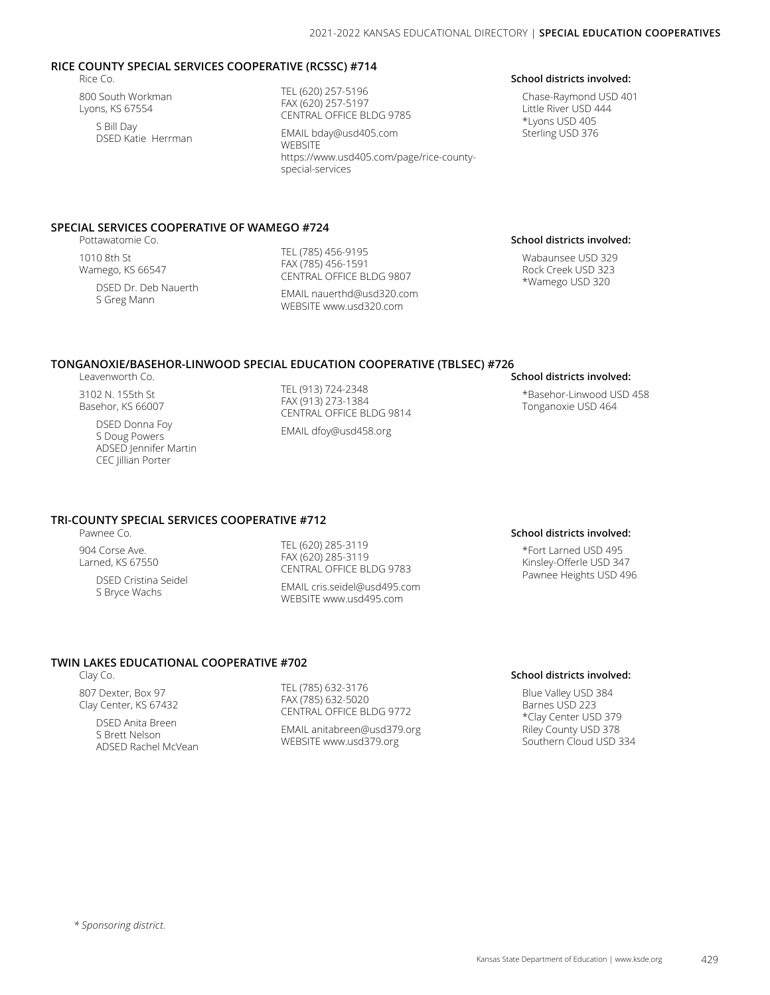### **RICE COUNTY SPECIAL SERVICES COOPERATIVE (RCSSC) #714**

Rice Co.

800 South Workman Lyons, KS 67554 S Bill Day DSED Katie Herrman TEL (620) 257-5196 FAX (620) 257-5197 CENTRAL OFFICE BLDG 9785

EMAIL bday@usd405.com WEBSITE [https://www.usd405.com/page/rice-county](https://www.usd405.com/page/rice-county-special-services
)[special-services](https://www.usd405.com/page/rice-county-special-services
)

# **SPECIAL SERVICES COOPERATIVE OF WAMEGO #724**

Pottawatomie Co.

1010 8th St Wamego, KS 66547

DSED Dr. Deb Nauerth S Greg Mann

TEL (785) 456-9195 FAX (785) 456-1591 CENTRAL OFFICE BLDG 9807

EMAIL nauerthd@usd320.com WEBSITE www.usd320.com

### **[School districts involved:](https://www.usd405.com/page/rice-county-special-services
)**

[Chase-Raymond USD 401](https://www.usd405.com/page/rice-county-special-services
) [Little River USD 444](https://www.usd405.com/page/rice-county-special-services
) [\\*Lyons USD 405](https://www.usd405.com/page/rice-county-special-services
) [Sterling USD 376](https://www.usd405.com/page/rice-county-special-services
)

### **School districts involved:**

Wabaunsee USD 329 Rock Creek USD 323 \*Wamego USD 320

### **TONGANOXIE/BASEHOR-LINWOOD SPECIAL EDUCATION COOPERATIVE (TBLSEC) #726**

Leavenworth Co.

3102 N. 155th St Basehor, KS 66007

> DSED Donna Foy S Doug Powers ADSED Jennifer Martin CEC Jillian Porter

TEL (913) 724-2348 FAX (913) 273-1384 CENTRAL OFFICE BLDG 9814

EMAIL dfoy@usd458.org

### **School districts involved:**

\*Basehor-Linwood USD 458 Tonganoxie USD 464

### **TRI-COUNTY SPECIAL SERVICES COOPERATIVE #712**

Pawnee Co. 904 Corse Ave. Larned, KS 67550

> DSED Cristina Seidel S Bryce Wachs

TEL (620) 285-3119 FAX (620) 285-3119 CENTRAL OFFICE BLDG 9783

EMAIL cris.seidel@usd495.com WEBSITE www.usd495.com

### **School districts involved:**

\*Fort Larned USD 495 Kinsley-Offerle USD 347 Pawnee Heights USD 496

### **TWIN LAKES EDUCATIONAL COOPERATIVE #702**

Clay Co.

807 Dexter, Box 97 Clay Center, KS 67432

> DSED Anita Breen S Brett Nelson ADSED Rachel McVean

TEL (785) 632-3176 FAX (785) 632-5020 CENTRAL OFFICE BLDG 9772

EMAIL anitabreen@usd379.org WEBSITE www.usd379.org

### **School districts involved:**

Blue Valley USD 384 Barnes USD 223 \*Clay Center USD 379 Riley County USD 378 Southern Cloud USD 334